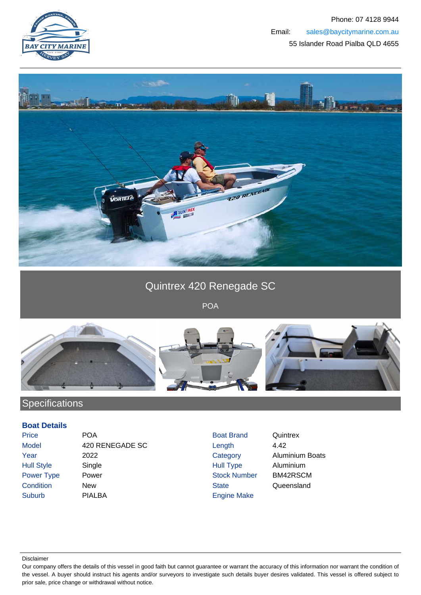



## Quintrex 420 Renegade SC

POA



## **Specifications**

## **Boat Details**

| Price             |  |
|-------------------|--|
| Model             |  |
| Year              |  |
| <b>Hull Style</b> |  |
| <b>Power Type</b> |  |
| Condition         |  |
| Suburb            |  |

**POA** Boat Brand Quintrex 420 RENEGADE SC Length 4.42 2022 Category Aluminium Boats Single **Single Single Single Single Single Single Single Single Single Single Single Single Single Single Single Single Single Single Single Single Single Single Single Single Single Single Single Single Single Single Sing** Power Number BM42RSCM New New State Queensland PIALBA Engine Make

Disclaimer

Our company offers the details of this vessel in good faith but cannot guarantee or warrant the accuracy of this information nor warrant the condition of the vessel. A buyer should instruct his agents and/or surveyors to investigate such details buyer desires validated. This vessel is offered subject to prior sale, price change or withdrawal without notice.